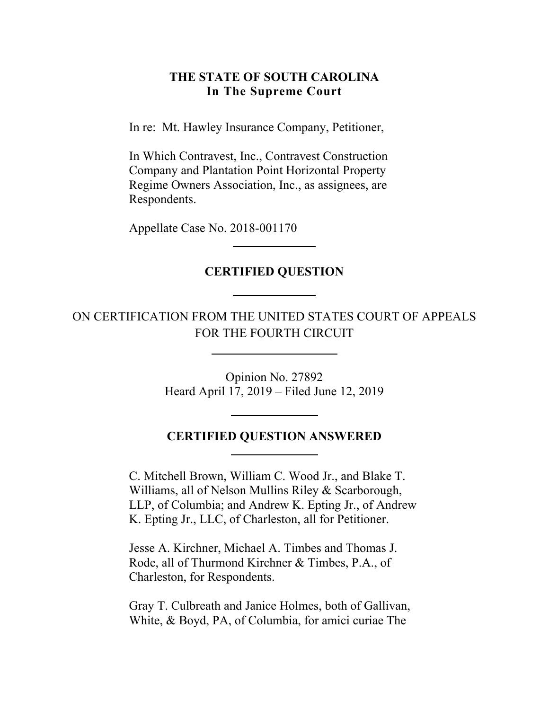#### **THE STATE OF SOUTH CAROLINA In The Supreme Court**

In re: Mt. Hawley Insurance Company, Petitioner,

In Which Contravest, Inc., Contravest Construction Company and Plantation Point Horizontal Property Regime Owners Association, Inc., as assignees, are Respondents.

Appellate Case No. 2018-001170

#### **CERTIFIED QUESTION**

## ON CERTIFICATION FROM THE UNITED STATES COURT OF APPEALS FOR THE FOURTH CIRCUIT

Opinion No. 27892 Heard April 17, 2019 – Filed June 12, 2019

### **CERTIFIED QUESTION ANSWERED**

C. Mitchell Brown, William C. Wood Jr., and Blake T. Williams, all of Nelson Mullins Riley & Scarborough, LLP, of Columbia; and Andrew K. Epting Jr., of Andrew K. Epting Jr., LLC, of Charleston, all for Petitioner.

Jesse A. Kirchner, Michael A. Timbes and Thomas J. Rode, all of Thurmond Kirchner & Timbes, P.A., of Charleston, for Respondents.

Gray T. Culbreath and Janice Holmes, both of Gallivan, White, & Boyd, PA, of Columbia, for amici curiae The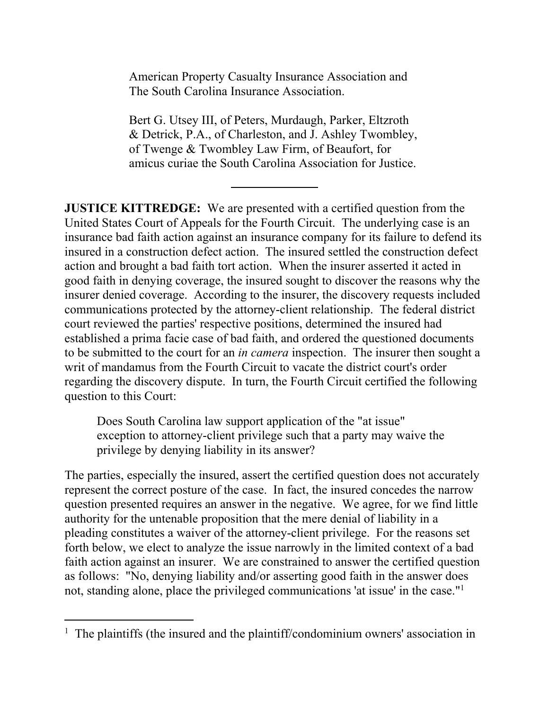American Property Casualty Insurance Association and The South Carolina Insurance Association.

Bert G. Utsey III, of Peters, Murdaugh, Parker, Eltzroth & Detrick, P.A., of Charleston, and J. Ashley Twombley, of Twenge & Twombley Law Firm, of Beaufort, for amicus curiae the South Carolina Association for Justice.

**JUSTICE KITTREDGE:** We are presented with a certified question from the United States Court of Appeals for the Fourth Circuit. The underlying case is an insurance bad faith action against an insurance company for its failure to defend its insured in a construction defect action. The insured settled the construction defect action and brought a bad faith tort action. When the insurer asserted it acted in good faith in denying coverage, the insured sought to discover the reasons why the insurer denied coverage. According to the insurer, the discovery requests included communications protected by the attorney-client relationship. The federal district court reviewed the parties' respective positions, determined the insured had established a prima facie case of bad faith, and ordered the questioned documents to be submitted to the court for an *in camera* inspection. The insurer then sought a writ of mandamus from the Fourth Circuit to vacate the district court's order regarding the discovery dispute. In turn, the Fourth Circuit certified the following question to this Court:

Does South Carolina law support application of the "at issue" exception to attorney-client privilege such that a party may waive the privilege by denying liability in its answer?

The parties, especially the insured, assert the certified question does not accurately represent the correct posture of the case. In fact, the insured concedes the narrow question presented requires an answer in the negative. We agree, for we find little authority for the untenable proposition that the mere denial of liability in a pleading constitutes a waiver of the attorney-client privilege. For the reasons set forth below, we elect to analyze the issue narrowly in the limited context of a bad faith action against an insurer. We are constrained to answer the certified question as follows: "No, denying liability and/or asserting good faith in the answer does not, standing alone, place the privileged communications 'at issue' in the case."1

<sup>&</sup>lt;sup>1</sup> The plaintiffs (the insured and the plaintiff/condominium owners' association in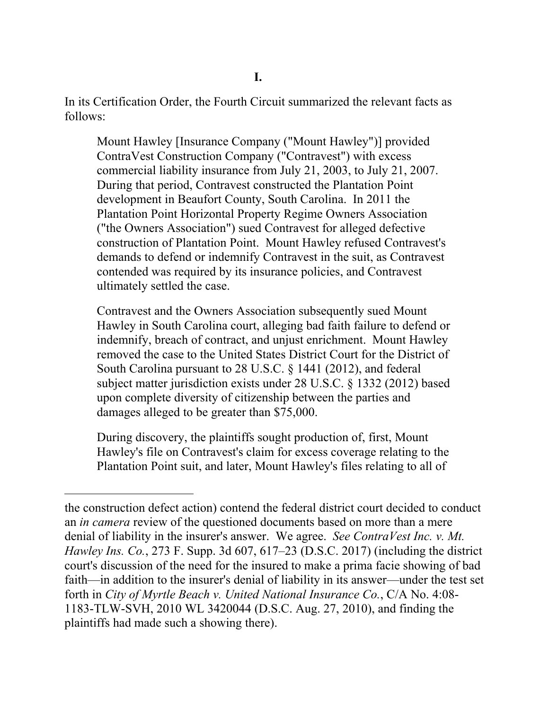In its Certification Order, the Fourth Circuit summarized the relevant facts as follows:

Mount Hawley [Insurance Company ("Mount Hawley")] provided ContraVest Construction Company ("Contravest") with excess commercial liability insurance from July 21, 2003, to July 21, 2007. During that period, Contravest constructed the Plantation Point development in Beaufort County, South Carolina. In 2011 the Plantation Point Horizontal Property Regime Owners Association ("the Owners Association") sued Contravest for alleged defective construction of Plantation Point. Mount Hawley refused Contravest's demands to defend or indemnify Contravest in the suit, as Contravest contended was required by its insurance policies, and Contravest ultimately settled the case.

Contravest and the Owners Association subsequently sued Mount Hawley in South Carolina court, alleging bad faith failure to defend or indemnify, breach of contract, and unjust enrichment. Mount Hawley removed the case to the United States District Court for the District of South Carolina pursuant to 28 U.S.C. § 1441 (2012), and federal subject matter jurisdiction exists under 28 U.S.C. § 1332 (2012) based upon complete diversity of citizenship between the parties and damages alleged to be greater than \$75,000.

During discovery, the plaintiffs sought production of, first, Mount Hawley's file on Contravest's claim for excess coverage relating to the Plantation Point suit, and later, Mount Hawley's files relating to all of

the construction defect action) contend the federal district court decided to conduct an *in camera* review of the questioned documents based on more than a mere denial of liability in the insurer's answer. We agree. *See ContraVest Inc. v. Mt. Hawley Ins. Co.*, 273 F. Supp. 3d 607, 617–23 (D.S.C. 2017) (including the district court's discussion of the need for the insured to make a prima facie showing of bad faith—in addition to the insurer's denial of liability in its answer—under the test set forth in *City of Myrtle Beach v. United National Insurance Co.*, C/A No. 4:08- 1183-TLW-SVH, 2010 WL 3420044 (D.S.C. Aug. 27, 2010), and finding the plaintiffs had made such a showing there).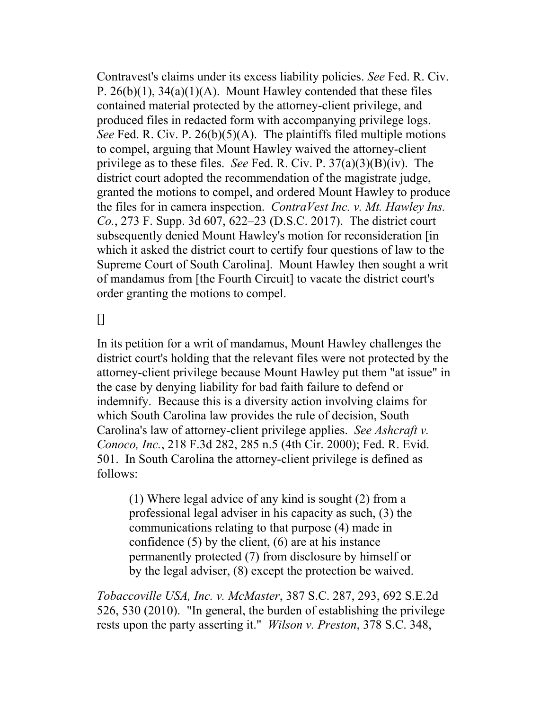Contravest's claims under its excess liability policies. *See* Fed. R. Civ. P.  $26(b)(1)$ ,  $34(a)(1)(A)$ . Mount Hawley contended that these files contained material protected by the attorney-client privilege, and produced files in redacted form with accompanying privilege logs. *See* Fed. R. Civ. P. 26(b)(5)(A). The plaintiffs filed multiple motions to compel, arguing that Mount Hawley waived the attorney-client privilege as to these files. *See* Fed. R. Civ. P. 37(a)(3)(B)(iv). The district court adopted the recommendation of the magistrate judge, granted the motions to compel, and ordered Mount Hawley to produce the files for in camera inspection. *ContraVest Inc. v. Mt. Hawley Ins. Co.*, 273 F. Supp. 3d 607, 622–23 (D.S.C. 2017). The district court subsequently denied Mount Hawley's motion for reconsideration [in which it asked the district court to certify four questions of law to the Supreme Court of South Carolina]. Mount Hawley then sought a writ of mandamus from [the Fourth Circuit] to vacate the district court's order granting the motions to compel.

 $\Box$ 

In its petition for a writ of mandamus, Mount Hawley challenges the district court's holding that the relevant files were not protected by the attorney-client privilege because Mount Hawley put them "at issue" in the case by denying liability for bad faith failure to defend or indemnify. Because this is a diversity action involving claims for which South Carolina law provides the rule of decision, South Carolina's law of attorney-client privilege applies. *See Ashcraft v. Conoco, Inc.*, 218 F.3d 282, 285 n.5 (4th Cir. 2000); Fed. R. Evid. 501. In South Carolina the attorney-client privilege is defined as follows:

(1) Where legal advice of any kind is sought (2) from a professional legal adviser in his capacity as such, (3) the communications relating to that purpose (4) made in confidence  $(5)$  by the client,  $(6)$  are at his instance permanently protected (7) from disclosure by himself or by the legal adviser, (8) except the protection be waived.

*Tobaccoville USA, Inc. v. McMaster*, 387 S.C. 287, 293, 692 S.E.2d 526, 530 (2010). "In general, the burden of establishing the privilege rests upon the party asserting it." *Wilson v. Preston*, 378 S.C. 348,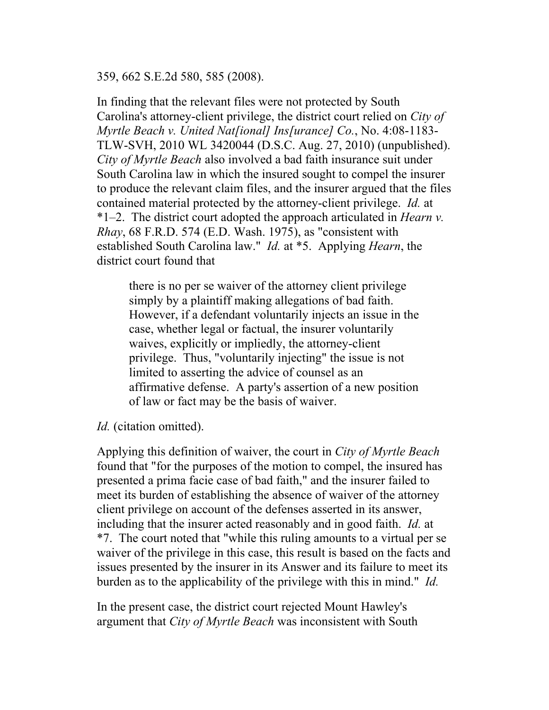359, 662 S.E.2d 580, 585 (2008).

In finding that the relevant files were not protected by South Carolina's attorney-client privilege, the district court relied on *City of Myrtle Beach v. United Nat[ional] Ins[urance] Co.*, No. 4:08-1183- TLW-SVH, 2010 WL 3420044 (D.S.C. Aug. 27, 2010) (unpublished). *City of Myrtle Beach* also involved a bad faith insurance suit under South Carolina law in which the insured sought to compel the insurer to produce the relevant claim files, and the insurer argued that the files contained material protected by the attorney-client privilege. *Id.* at \*1–2. The district court adopted the approach articulated in *Hearn v. Rhay*, 68 F.R.D. 574 (E.D. Wash. 1975), as "consistent with established South Carolina law." *Id.* at \*5. Applying *Hearn*, the district court found that

there is no per se waiver of the attorney client privilege simply by a plaintiff making allegations of bad faith. However, if a defendant voluntarily injects an issue in the case, whether legal or factual, the insurer voluntarily waives, explicitly or impliedly, the attorney-client privilege. Thus, "voluntarily injecting" the issue is not limited to asserting the advice of counsel as an affirmative defense. A party's assertion of a new position of law or fact may be the basis of waiver.

*Id.* (citation omitted).

 presented a prima facie case of bad faith," and the insurer failed to Applying this definition of waiver, the court in *City of Myrtle Beach*  found that "for the purposes of the motion to compel, the insured has meet its burden of establishing the absence of waiver of the attorney client privilege on account of the defenses asserted in its answer, including that the insurer acted reasonably and in good faith. *Id.* at \*7. The court noted that "while this ruling amounts to a virtual per se waiver of the privilege in this case, this result is based on the facts and issues presented by the insurer in its Answer and its failure to meet its burden as to the applicability of the privilege with this in mind." *Id.* 

In the present case, the district court rejected Mount Hawley's argument that *City of Myrtle Beach* was inconsistent with South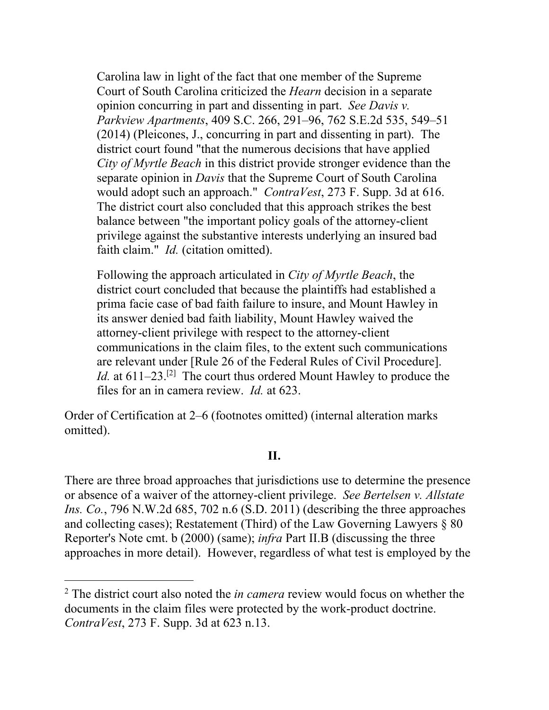Carolina law in light of the fact that one member of the Supreme Court of South Carolina criticized the *Hearn* decision in a separate opinion concurring in part and dissenting in part. *See Davis v. Parkview Apartments*, 409 S.C. 266, 291–96, 762 S.E.2d 535, 549–51 (2014) (Pleicones, J., concurring in part and dissenting in part). The district court found "that the numerous decisions that have applied *City of Myrtle Beach* in this district provide stronger evidence than the separate opinion in *Davis* that the Supreme Court of South Carolina would adopt such an approach." *ContraVest*, 273 F. Supp. 3d at 616. The district court also concluded that this approach strikes the best balance between "the important policy goals of the attorney-client privilege against the substantive interests underlying an insured bad faith claim." *Id.* (citation omitted).

Following the approach articulated in *City of Myrtle Beach*, the district court concluded that because the plaintiffs had established a prima facie case of bad faith failure to insure, and Mount Hawley in its answer denied bad faith liability, Mount Hawley waived the attorney-client privilege with respect to the attorney-client communications in the claim files, to the extent such communications are relevant under [Rule 26 of the Federal Rules of Civil Procedure]. *Id.* at 611–23.<sup>[2]</sup> The court thus ordered Mount Hawley to produce the files for an in camera review. *Id.* at 623.

Order of Certification at 2–6 (footnotes omitted) (internal alteration marks omitted).

#### **II.**

There are three broad approaches that jurisdictions use to determine the presence or absence of a waiver of the attorney-client privilege. *See Bertelsen v. Allstate Ins. Co.*, 796 N.W.2d 685, 702 n.6 (S.D. 2011) (describing the three approaches and collecting cases); Restatement (Third) of the Law Governing Lawyers  $\S 80$ Reporter's Note cmt. b (2000) (same); *infra* Part II.B (discussing the three approaches in more detail). However, regardless of what test is employed by the

<sup>2</sup> The district court also noted the *in camera* review would focus on whether the documents in the claim files were protected by the work-product doctrine. *ContraVest*, 273 F. Supp. 3d at 623 n.13.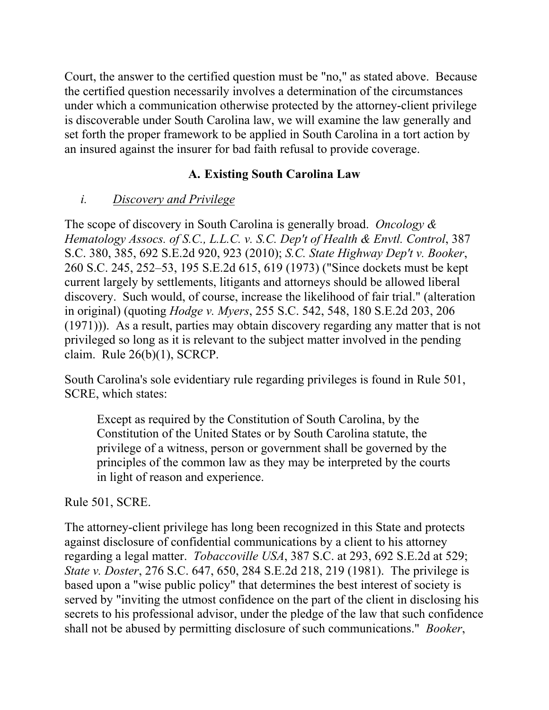Court, the answer to the certified question must be "no," as stated above. Because the certified question necessarily involves a determination of the circumstances under which a communication otherwise protected by the attorney-client privilege is discoverable under South Carolina law, we will examine the law generally and set forth the proper framework to be applied in South Carolina in a tort action by an insured against the insurer for bad faith refusal to provide coverage.

# **A. Existing South Carolina Law**

# *i. Discovery and Privilege*

The scope of discovery in South Carolina is generally broad. *Oncology & Hematology Assocs. of S.C., L.L.C. v. S.C. Dep't of Health & Envtl. Control*, 387 S.C. 380, 385, 692 S.E.2d 920, 923 (2010); *S.C. State Highway Dep't v. Booker*, 260 S.C. 245, 252–53, 195 S.E.2d 615, 619 (1973) ("Since dockets must be kept current largely by settlements, litigants and attorneys should be allowed liberal discovery. Such would, of course, increase the likelihood of fair trial." (alteration in original) (quoting *Hodge v. Myers*, 255 S.C. 542, 548, 180 S.E.2d 203, 206 (1971))). As a result, parties may obtain discovery regarding any matter that is not privileged so long as it is relevant to the subject matter involved in the pending claim. Rule 26(b)(1), SCRCP.

South Carolina's sole evidentiary rule regarding privileges is found in Rule 501, SCRE, which states:

Except as required by the Constitution of South Carolina, by the Constitution of the United States or by South Carolina statute, the privilege of a witness, person or government shall be governed by the principles of the common law as they may be interpreted by the courts in light of reason and experience.

## Rule 501, SCRE.

The attorney-client privilege has long been recognized in this State and protects against disclosure of confidential communications by a client to his attorney regarding a legal matter. *Tobaccoville USA*, 387 S.C. at 293, 692 S.E.2d at 529; *State v. Doster*, 276 S.C. 647, 650, 284 S.E.2d 218, 219 (1981). The privilege is based upon a "wise public policy" that determines the best interest of society is served by "inviting the utmost confidence on the part of the client in disclosing his secrets to his professional advisor, under the pledge of the law that such confidence shall not be abused by permitting disclosure of such communications." *Booker*,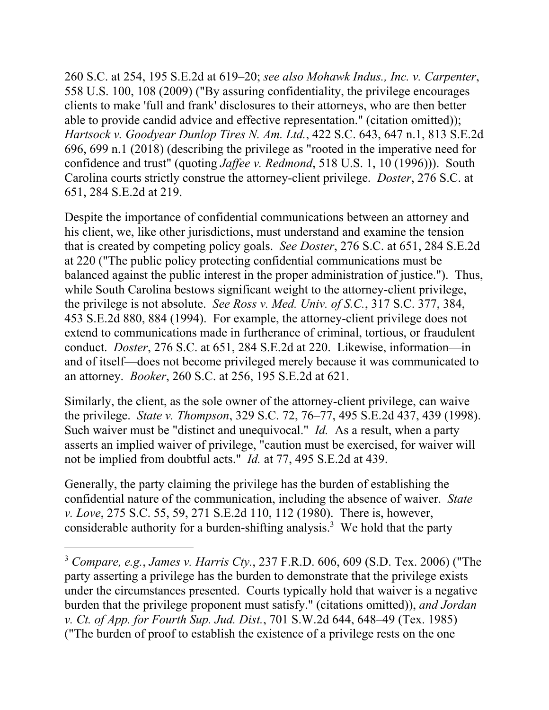260 S.C. at 254, 195 S.E.2d at 619–20; *see also Mohawk Indus., Inc. v. Carpenter*, 558 U.S. 100, 108 (2009) ("By assuring confidentiality, the privilege encourages clients to make 'full and frank' disclosures to their attorneys, who are then better able to provide candid advice and effective representation." (citation omitted)); *Hartsock v. Goodyear Dunlop Tires N. Am. Ltd.*, 422 S.C. 643, 647 n.1, 813 S.E.2d 696, 699 n.1 (2018) (describing the privilege as "rooted in the imperative need for confidence and trust" (quoting *Jaffee v. Redmond*, 518 U.S. 1, 10 (1996))). South Carolina courts strictly construe the attorney-client privilege. *Doster*, 276 S.C. at 651, 284 S.E.2d at 219.

Despite the importance of confidential communications between an attorney and his client, we, like other jurisdictions, must understand and examine the tension that is created by competing policy goals. *See Doster*, 276 S.C. at 651, 284 S.E.2d at 220 ("The public policy protecting confidential communications must be balanced against the public interest in the proper administration of justice."). Thus, while South Carolina bestows significant weight to the attorney-client privilege, the privilege is not absolute. *See Ross v. Med. Univ. of S.C.*, 317 S.C. 377, 384, 453 S.E.2d 880, 884 (1994). For example, the attorney-client privilege does not extend to communications made in furtherance of criminal, tortious, or fraudulent conduct. *Doster*, 276 S.C. at 651, 284 S.E.2d at 220. Likewise, information—in and of itself—does not become privileged merely because it was communicated to an attorney. *Booker*, 260 S.C. at 256, 195 S.E.2d at 621.

Similarly, the client, as the sole owner of the attorney-client privilege, can waive the privilege. *State v. Thompson*, 329 S.C. 72, 76–77, 495 S.E.2d 437, 439 (1998). Such waiver must be "distinct and unequivocal." *Id.* As a result, when a party asserts an implied waiver of privilege, "caution must be exercised, for waiver will not be implied from doubtful acts." *Id.* at 77, 495 S.E.2d at 439.

Generally, the party claiming the privilege has the burden of establishing the confidential nature of the communication, including the absence of waiver. *State v. Love*, 275 S.C. 55, 59, 271 S.E.2d 110, 112 (1980). There is, however, considerable authority for a burden-shifting analysis.<sup>3</sup> We hold that the party

<sup>3</sup> *Compare, e.g.*, *James v. Harris Cty.*, 237 F.R.D. 606, 609 (S.D. Tex. 2006) ("The party asserting a privilege has the burden to demonstrate that the privilege exists under the circumstances presented. Courts typically hold that waiver is a negative burden that the privilege proponent must satisfy." (citations omitted)), *and Jordan v. Ct. of App. for Fourth Sup. Jud. Dist.*, 701 S.W.2d 644, 648–49 (Tex. 1985) ("The burden of proof to establish the existence of a privilege rests on the one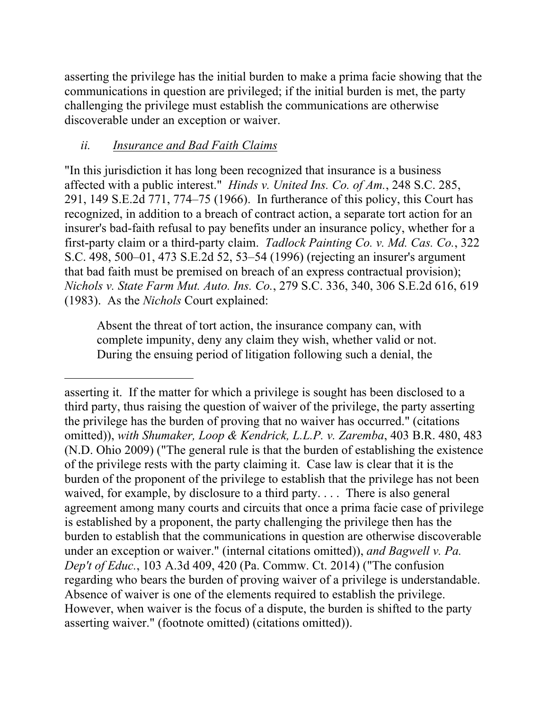asserting the privilege has the initial burden to make a prima facie showing that the communications in question are privileged; if the initial burden is met, the party challenging the privilege must establish the communications are otherwise discoverable under an exception or waiver.

# *ii. Insurance and Bad Faith Claims*

 $\overline{a}$ 

"In this jurisdiction it has long been recognized that insurance is a business affected with a public interest." *Hinds v. United Ins. Co. of Am.*, 248 S.C. 285, 291, 149 S.E.2d 771, 774–75 (1966). In furtherance of this policy, this Court has recognized, in addition to a breach of contract action, a separate tort action for an insurer's bad-faith refusal to pay benefits under an insurance policy, whether for a first-party claim or a third-party claim. *Tadlock Painting Co. v. Md. Cas. Co.*, 322 S.C. 498, 500–01, 473 S.E.2d 52, 53–54 (1996) (rejecting an insurer's argument that bad faith must be premised on breach of an express contractual provision); *Nichols v. State Farm Mut. Auto. Ins. Co.*, 279 S.C. 336, 340, 306 S.E.2d 616, 619 (1983). As the *Nichols* Court explained:

Absent the threat of tort action, the insurance company can, with complete impunity, deny any claim they wish, whether valid or not. During the ensuing period of litigation following such a denial, the

asserting it. If the matter for which a privilege is sought has been disclosed to a third party, thus raising the question of waiver of the privilege, the party asserting the privilege has the burden of proving that no waiver has occurred." (citations omitted)), *with Shumaker, Loop & Kendrick, L.L.P. v. Zaremba*, 403 B.R. 480, 483 (N.D. Ohio 2009) ("The general rule is that the burden of establishing the existence of the privilege rests with the party claiming it. Case law is clear that it is the burden of the proponent of the privilege to establish that the privilege has not been waived, for example, by disclosure to a third party. . . . There is also general agreement among many courts and circuits that once a prima facie case of privilege is established by a proponent, the party challenging the privilege then has the burden to establish that the communications in question are otherwise discoverable under an exception or waiver." (internal citations omitted)), *and Bagwell v. Pa. Dep't of Educ.*, 103 A.3d 409, 420 (Pa. Commw. Ct. 2014) ("The confusion regarding who bears the burden of proving waiver of a privilege is understandable. Absence of waiver is one of the elements required to establish the privilege. However, when waiver is the focus of a dispute, the burden is shifted to the party asserting waiver." (footnote omitted) (citations omitted)).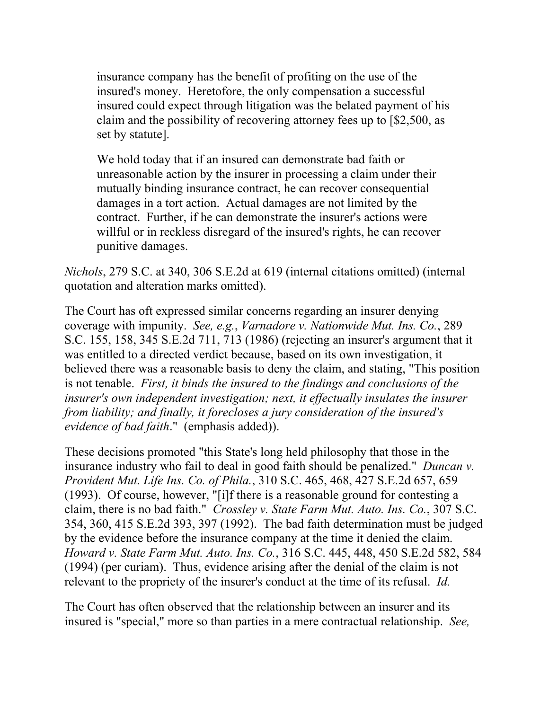insurance company has the benefit of profiting on the use of the insured's money. Heretofore, the only compensation a successful insured could expect through litigation was the belated payment of his claim and the possibility of recovering attorney fees up to [\$2,500, as set by statute].

We hold today that if an insured can demonstrate bad faith or unreasonable action by the insurer in processing a claim under their mutually binding insurance contract, he can recover consequential damages in a tort action. Actual damages are not limited by the contract. Further, if he can demonstrate the insurer's actions were willful or in reckless disregard of the insured's rights, he can recover punitive damages.

*Nichols*, 279 S.C. at 340, 306 S.E.2d at 619 (internal citations omitted) (internal quotation and alteration marks omitted).

The Court has oft expressed similar concerns regarding an insurer denying coverage with impunity. *See, e.g.*, *Varnadore v. Nationwide Mut. Ins. Co.*, 289 S.C. 155, 158, 345 S.E.2d 711, 713 (1986) (rejecting an insurer's argument that it was entitled to a directed verdict because, based on its own investigation, it believed there was a reasonable basis to deny the claim, and stating, "This position is not tenable. *First, it binds the insured to the findings and conclusions of the insurer's own independent investigation; next, it effectually insulates the insurer from liability; and finally, it forecloses a jury consideration of the insured's evidence of bad faith*." (emphasis added)).

 by the evidence before the insurance company at the time it denied the claim. These decisions promoted "this State's long held philosophy that those in the insurance industry who fail to deal in good faith should be penalized." *Duncan v. Provident Mut. Life Ins. Co. of Phila.*, 310 S.C. 465, 468, 427 S.E.2d 657, 659 (1993). Of course, however, "[i]f there is a reasonable ground for contesting a claim, there is no bad faith." *Crossley v. State Farm Mut. Auto. Ins. Co.*, 307 S.C. 354, 360, 415 S.E.2d 393, 397 (1992). The bad faith determination must be judged *Howard v. State Farm Mut. Auto. Ins. Co.*, 316 S.C. 445, 448, 450 S.E.2d 582, 584 (1994) (per curiam). Thus, evidence arising after the denial of the claim is not relevant to the propriety of the insurer's conduct at the time of its refusal. *Id.* 

The Court has often observed that the relationship between an insurer and its insured is "special," more so than parties in a mere contractual relationship. *See,*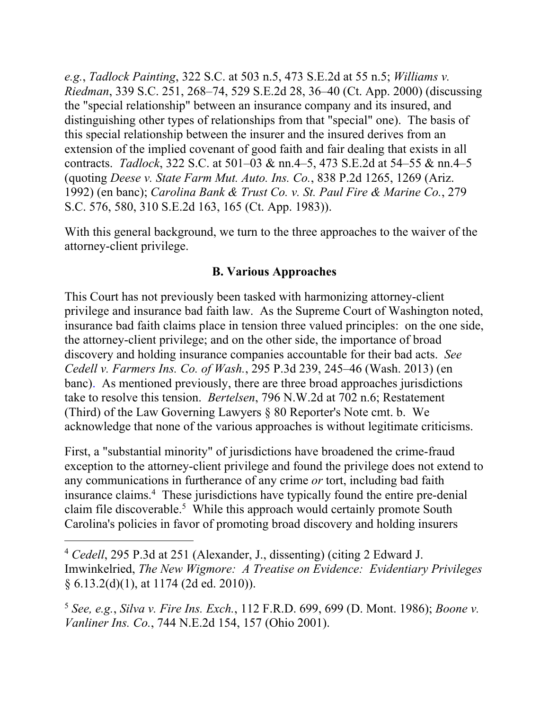*e.g.*, *Tadlock Painting*, 322 S.C. at 503 n.5, 473 S.E.2d at 55 n.5; *Williams v. Riedman*, 339 S.C. 251, 268–74, 529 S.E.2d 28, 36–40 (Ct. App. 2000) (discussing the "special relationship" between an insurance company and its insured, and distinguishing other types of relationships from that "special" one). The basis of this special relationship between the insurer and the insured derives from an extension of the implied covenant of good faith and fair dealing that exists in all contracts. *Tadlock*, 322 S.C. at 501–03 & nn.4–5, 473 S.E.2d at 54–55 & nn.4–5 (quoting *Deese v. State Farm Mut. Auto. Ins. Co.*, 838 P.2d 1265, 1269 (Ariz. 1992) (en banc); *Carolina Bank & Trust Co. v. St. Paul Fire & Marine Co.*, 279 S.C. 576, 580, 310 S.E.2d 163, 165 (Ct. App. 1983)).

With this general background, we turn to the three approaches to the waiver of the attorney-client privilege.

### **B. Various Approaches**

This Court has not previously been tasked with harmonizing attorney-client privilege and insurance bad faith law. As the Supreme Court of Washington noted, insurance bad faith claims place in tension three valued principles: on the one side, the attorney-client privilege; and on the other side, the importance of broad discovery and holding insurance companies accountable for their bad acts. *See Cedell v. Farmers Ins. Co. of Wash.*, 295 P.3d 239, 245–46 (Wash. 2013) (en banc). As mentioned previously, there are three broad approaches jurisdictions take to resolve this tension. *Bertelsen*, 796 N.W.2d at 702 n.6; Restatement (Third) of the Law Governing Lawyers § 80 Reporter's Note cmt. b. We acknowledge that none of the various approaches is without legitimate criticisms.

First, a "substantial minority" of jurisdictions have broadened the crime-fraud exception to the attorney-client privilege and found the privilege does not extend to any communications in furtherance of any crime *or* tort, including bad faith insurance claims.4 These jurisdictions have typically found the entire pre-denial claim file discoverable.<sup>5</sup> While this approach would certainly promote South Carolina's policies in favor of promoting broad discovery and holding insurers

<sup>4</sup> *Cedell*, 295 P.3d at 251 (Alexander, J., dissenting) (citing 2 Edward J. Imwinkelried, *The New Wigmore: A Treatise on Evidence: Evidentiary Privileges*  § 6.13.2(d)(1), at 1174 (2d ed. 2010)).

<sup>5</sup> *See, e.g.*, *Silva v. Fire Ins. Exch.*, 112 F.R.D. 699, 699 (D. Mont. 1986); *Boone v. Vanliner Ins. Co.*, 744 N.E.2d 154, 157 (Ohio 2001).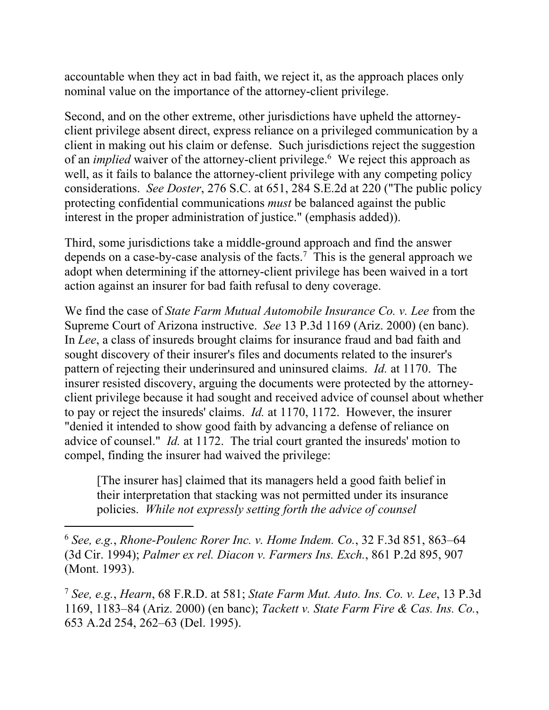accountable when they act in bad faith, we reject it, as the approach places only nominal value on the importance of the attorney-client privilege.

Second, and on the other extreme, other jurisdictions have upheld the attorneyclient privilege absent direct, express reliance on a privileged communication by a client in making out his claim or defense. Such jurisdictions reject the suggestion of an *implied* waiver of the attorney-client privilege.<sup>6</sup> We reject this approach as well, as it fails to balance the attorney-client privilege with any competing policy considerations. *See Doster*, 276 S.C. at 651, 284 S.E.2d at 220 ("The public policy protecting confidential communications *must* be balanced against the public interest in the proper administration of justice." (emphasis added)).

Third, some jurisdictions take a middle-ground approach and find the answer depends on a case-by-case analysis of the facts.<sup>7</sup> This is the general approach we adopt when determining if the attorney-client privilege has been waived in a tort action against an insurer for bad faith refusal to deny coverage.

We find the case of *State Farm Mutual Automobile Insurance Co. v. Lee* from the Supreme Court of Arizona instructive. *See* 13 P.3d 1169 (Ariz. 2000) (en banc). In *Lee*, a class of insureds brought claims for insurance fraud and bad faith and sought discovery of their insurer's files and documents related to the insurer's pattern of rejecting their underinsured and uninsured claims. *Id.* at 1170. The insurer resisted discovery, arguing the documents were protected by the attorneyclient privilege because it had sought and received advice of counsel about whether to pay or reject the insureds' claims. *Id.* at 1170, 1172. However, the insurer "denied it intended to show good faith by advancing a defense of reliance on advice of counsel." *Id.* at 1172. The trial court granted the insureds' motion to compel, finding the insurer had waived the privilege:

[The insurer has] claimed that its managers held a good faith belief in their interpretation that stacking was not permitted under its insurance policies. *While not expressly setting forth the advice of counsel* 

<sup>6</sup> *See, e.g.*, *Rhone-Poulenc Rorer Inc. v. Home Indem. Co.*, 32 F.3d 851, 863–64 (3d Cir. 1994); *Palmer ex rel. Diacon v. Farmers Ins. Exch.*, 861 P.2d 895, 907 (Mont. 1993).

 $\overline{a}$ 

<sup>7</sup> *See, e.g.*, *Hearn*, 68 F.R.D. at 581; *State Farm Mut. Auto. Ins. Co. v. Lee*, 13 P.3d 1169, 1183–84 (Ariz. 2000) (en banc); *Tackett v. State Farm Fire & Cas. Ins. Co.*, 653 A.2d 254, 262–63 (Del. 1995).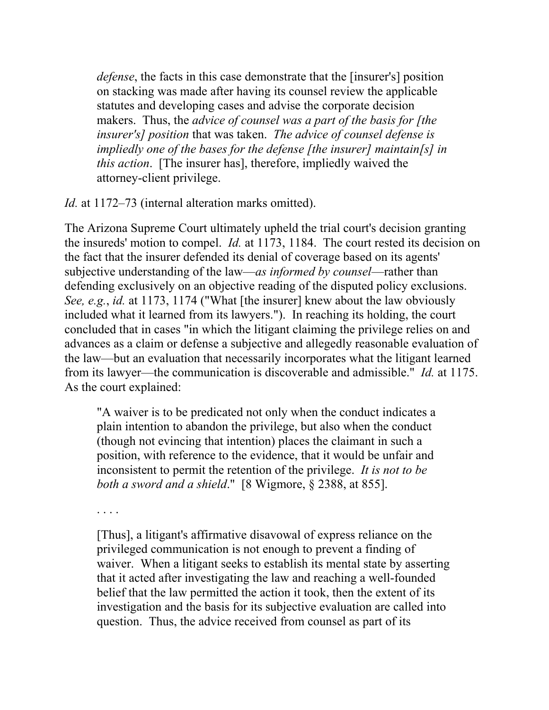*defense*, the facts in this case demonstrate that the [insurer's] position on stacking was made after having its counsel review the applicable statutes and developing cases and advise the corporate decision makers. Thus, the *advice of counsel was a part of the basis for [the insurer's] position* that was taken. *The advice of counsel defense is impliedly one of the bases for the defense [the insurer] maintain[s] in this action*. [The insurer has], therefore, impliedly waived the attorney-client privilege.

*Id.* at 1172–73 (internal alteration marks omitted).

The Arizona Supreme Court ultimately upheld the trial court's decision granting the insureds' motion to compel. *Id.* at 1173, 1184. The court rested its decision on the fact that the insurer defended its denial of coverage based on its agents' subjective understanding of the law—*as informed by counsel*—rather than defending exclusively on an objective reading of the disputed policy exclusions. *See, e.g.*, *id.* at 1173, 1174 ("What [the insurer] knew about the law obviously included what it learned from its lawyers."). In reaching its holding, the court concluded that in cases "in which the litigant claiming the privilege relies on and advances as a claim or defense a subjective and allegedly reasonable evaluation of the law—but an evaluation that necessarily incorporates what the litigant learned from its lawyer—the communication is discoverable and admissible." *Id.* at 1175. As the court explained:

"A waiver is to be predicated not only when the conduct indicates a plain intention to abandon the privilege, but also when the conduct (though not evincing that intention) places the claimant in such a position, with reference to the evidence, that it would be unfair and inconsistent to permit the retention of the privilege. *It is not to be both a sword and a shield*." [8 Wigmore, § 2388, at 855].

. . . .

[Thus], a litigant's affirmative disavowal of express reliance on the privileged communication is not enough to prevent a finding of waiver. When a litigant seeks to establish its mental state by asserting that it acted after investigating the law and reaching a well-founded belief that the law permitted the action it took, then the extent of its investigation and the basis for its subjective evaluation are called into question. Thus, the advice received from counsel as part of its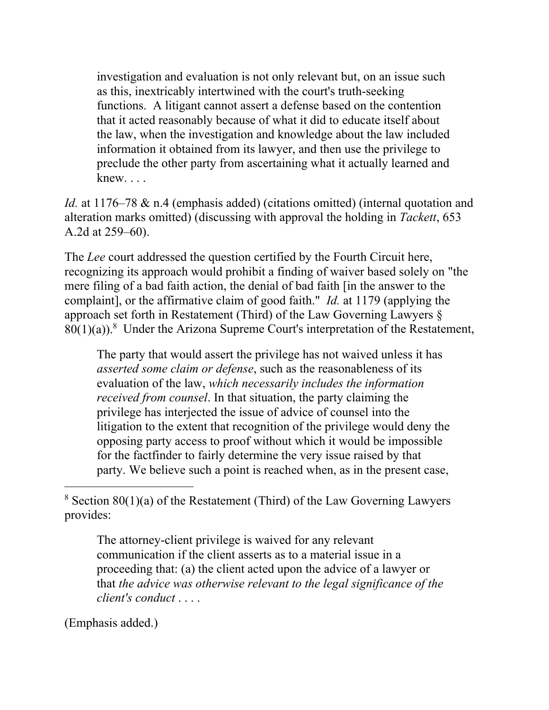investigation and evaluation is not only relevant but, on an issue such as this, inextricably intertwined with the court's truth-seeking functions. A litigant cannot assert a defense based on the contention that it acted reasonably because of what it did to educate itself about the law, when the investigation and knowledge about the law included information it obtained from its lawyer, and then use the privilege to preclude the other party from ascertaining what it actually learned and knew. . . .

*Id.* at 1176–78 & n.4 (emphasis added) (citations omitted) (internal quotation and alteration marks omitted) (discussing with approval the holding in *Tackett*, 653 A.2d at 259–60).

The *Lee* court addressed the question certified by the Fourth Circuit here, recognizing its approach would prohibit a finding of waiver based solely on "the mere filing of a bad faith action, the denial of bad faith [in the answer to the complaint], or the affirmative claim of good faith." *Id.* at 1179 (applying the approach set forth in Restatement (Third) of the Law Governing Lawyers §  $80(1)(a)$ .<sup>8</sup> Under the Arizona Supreme Court's interpretation of the Restatement,

The party that would assert the privilege has not waived unless it has *asserted some claim or defense*, such as the reasonableness of its evaluation of the law, *which necessarily includes the information received from counsel*. In that situation, the party claiming the privilege has interjected the issue of advice of counsel into the litigation to the extent that recognition of the privilege would deny the opposing party access to proof without which it would be impossible for the factfinder to fairly determine the very issue raised by that party. We believe such a point is reached when, as in the present case,

 $8$  Section  $80(1)(a)$  of the Restatement (Third) of the Law Governing Lawyers provides:

The attorney-client privilege is waived for any relevant communication if the client asserts as to a material issue in a proceeding that: (a) the client acted upon the advice of a lawyer or that *the advice was otherwise relevant to the legal significance of the client's conduct* . . . .

(Emphasis added.)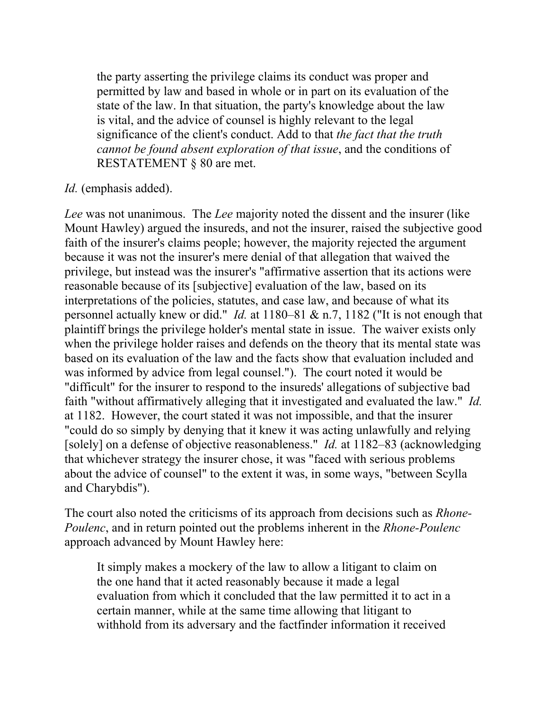the party asserting the privilege claims its conduct was proper and permitted by law and based in whole or in part on its evaluation of the state of the law. In that situation, the party's knowledge about the law is vital, and the advice of counsel is highly relevant to the legal significance of the client's conduct. Add to that *the fact that the truth cannot be found absent exploration of that issue*, and the conditions of RESTATEMENT § 80 are met.

### *Id.* (emphasis added).

*Lee* was not unanimous. The *Lee* majority noted the dissent and the insurer (like Mount Hawley) argued the insureds, and not the insurer, raised the subjective good faith of the insurer's claims people; however, the majority rejected the argument because it was not the insurer's mere denial of that allegation that waived the privilege, but instead was the insurer's "affirmative assertion that its actions were reasonable because of its [subjective] evaluation of the law, based on its interpretations of the policies, statutes, and case law, and because of what its personnel actually knew or did." *Id.* at 1180–81 & n.7, 1182 ("It is not enough that plaintiff brings the privilege holder's mental state in issue. The waiver exists only when the privilege holder raises and defends on the theory that its mental state was based on its evaluation of the law and the facts show that evaluation included and was informed by advice from legal counsel."). The court noted it would be "difficult" for the insurer to respond to the insureds' allegations of subjective bad faith "without affirmatively alleging that it investigated and evaluated the law." *Id.*  at 1182. However, the court stated it was not impossible, and that the insurer "could do so simply by denying that it knew it was acting unlawfully and relying [solely] on a defense of objective reasonableness." *Id.* at 1182–83 (acknowledging that whichever strategy the insurer chose, it was "faced with serious problems about the advice of counsel" to the extent it was, in some ways, "between Scylla and Charybdis").

The court also noted the criticisms of its approach from decisions such as *Rhone-Poulenc*, and in return pointed out the problems inherent in the *Rhone-Poulenc*  approach advanced by Mount Hawley here:

It simply makes a mockery of the law to allow a litigant to claim on the one hand that it acted reasonably because it made a legal evaluation from which it concluded that the law permitted it to act in a certain manner, while at the same time allowing that litigant to withhold from its adversary and the factfinder information it received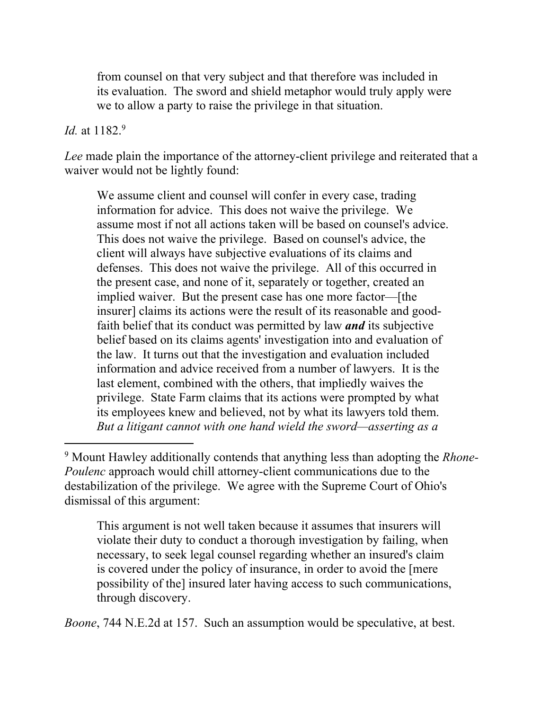from counsel on that very subject and that therefore was included in its evaluation. The sword and shield metaphor would truly apply were we to allow a party to raise the privilege in that situation.

#### *Id.* at 1182.9

 $\overline{a}$ 

*Lee* made plain the importance of the attorney-client privilege and reiterated that a waiver would not be lightly found:

We assume client and counsel will confer in every case, trading information for advice. This does not waive the privilege. We assume most if not all actions taken will be based on counsel's advice. This does not waive the privilege. Based on counsel's advice, the client will always have subjective evaluations of its claims and defenses. This does not waive the privilege. All of this occurred in the present case, and none of it, separately or together, created an implied waiver. But the present case has one more factor—[the insurer] claims its actions were the result of its reasonable and goodfaith belief that its conduct was permitted by law *and* its subjective belief based on its claims agents' investigation into and evaluation of the law. It turns out that the investigation and evaluation included information and advice received from a number of lawyers. It is the last element, combined with the others, that impliedly waives the privilege. State Farm claims that its actions were prompted by what its employees knew and believed, not by what its lawyers told them. *But a litigant cannot with one hand wield the sword—asserting as a* 

9 Mount Hawley additionally contends that anything less than adopting the *Rhone-Poulenc* approach would chill attorney-client communications due to the destabilization of the privilege. We agree with the Supreme Court of Ohio's dismissal of this argument:

This argument is not well taken because it assumes that insurers will violate their duty to conduct a thorough investigation by failing, when necessary, to seek legal counsel regarding whether an insured's claim is covered under the policy of insurance, in order to avoid the [mere possibility of the] insured later having access to such communications, through discovery.

*Boone*, 744 N.E.2d at 157. Such an assumption would be speculative, at best.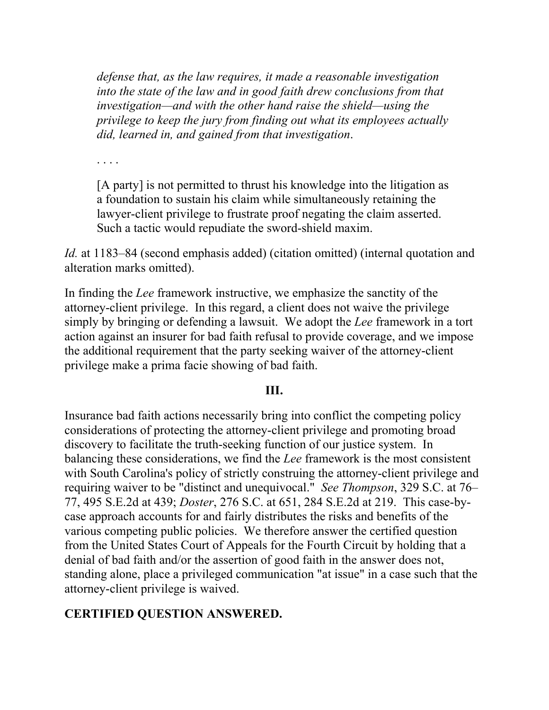*defense that, as the law requires, it made a reasonable investigation into the state of the law and in good faith drew conclusions from that investigation—and with the other hand raise the shield—using the privilege to keep the jury from finding out what its employees actually did, learned in, and gained from that investigation*.

. . . .

[A party] is not permitted to thrust his knowledge into the litigation as a foundation to sustain his claim while simultaneously retaining the lawyer-client privilege to frustrate proof negating the claim asserted. Such a tactic would repudiate the sword-shield maxim.

*Id.* at 1183–84 (second emphasis added) (citation omitted) (internal quotation and alteration marks omitted).

In finding the *Lee* framework instructive, we emphasize the sanctity of the attorney-client privilege. In this regard, a client does not waive the privilege simply by bringing or defending a lawsuit. We adopt the *Lee* framework in a tort action against an insurer for bad faith refusal to provide coverage, and we impose the additional requirement that the party seeking waiver of the attorney-client privilege make a prima facie showing of bad faith.

#### **III.**

Insurance bad faith actions necessarily bring into conflict the competing policy considerations of protecting the attorney-client privilege and promoting broad discovery to facilitate the truth-seeking function of our justice system. In balancing these considerations, we find the *Lee* framework is the most consistent with South Carolina's policy of strictly construing the attorney-client privilege and requiring waiver to be "distinct and unequivocal." *See Thompson*, 329 S.C. at 76– 77, 495 S.E.2d at 439; *Doster*, 276 S.C. at 651, 284 S.E.2d at 219. This case-bycase approach accounts for and fairly distributes the risks and benefits of the various competing public policies. We therefore answer the certified question from the United States Court of Appeals for the Fourth Circuit by holding that a denial of bad faith and/or the assertion of good faith in the answer does not, standing alone, place a privileged communication "at issue" in a case such that the attorney-client privilege is waived.

## **CERTIFIED QUESTION ANSWERED.**